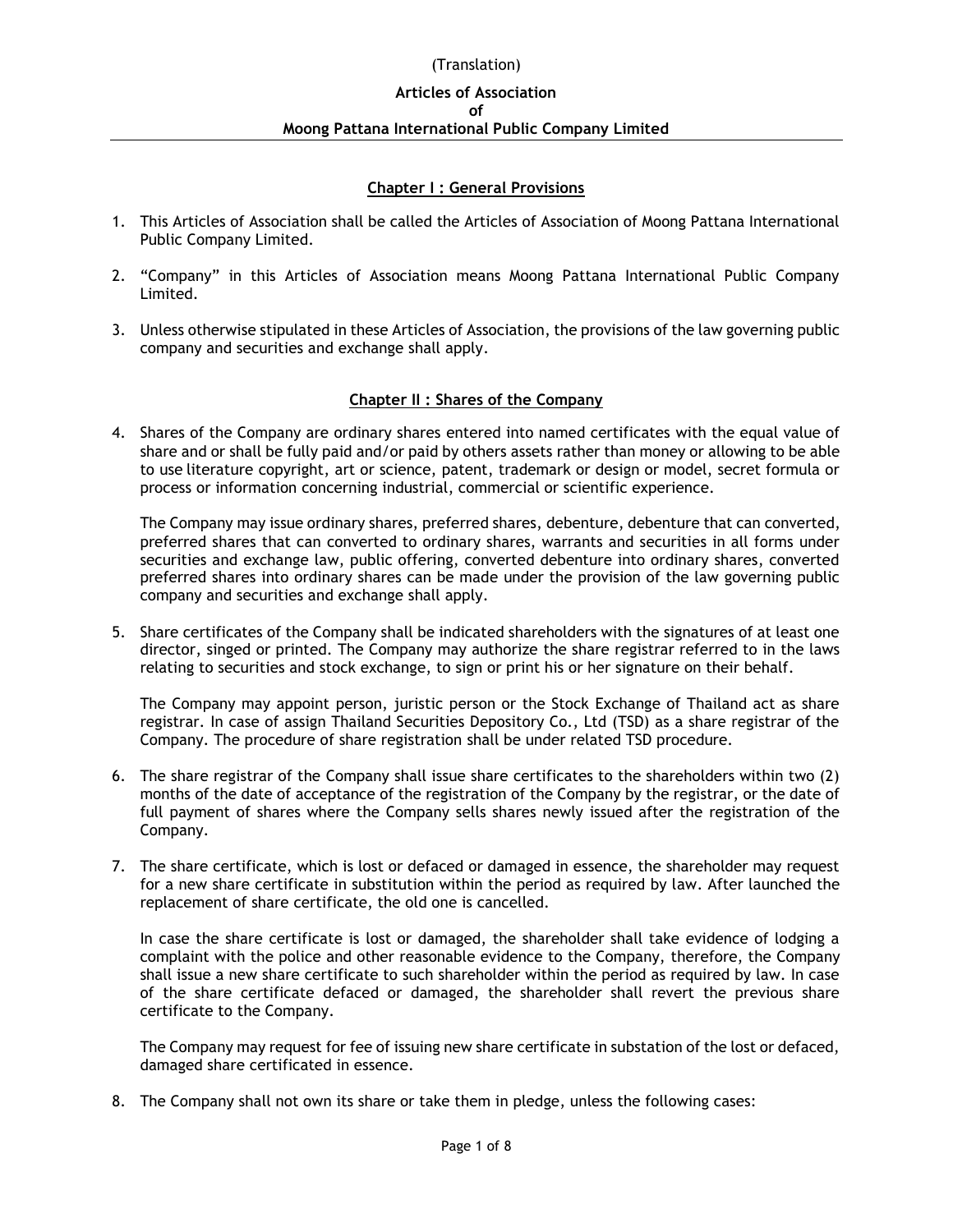# **Chapter I : General Provisions**

- 1. This Articles of Association shall be called the Articles of Association of Moong Pattana International Public Company Limited.
- 2. "Company" in this Articles of Association means Moong Pattana International Public Company Limited.
- 3. Unless otherwise stipulated in these Articles of Association, the provisions of the law governing public company and securities and exchange shall apply.

# **Chapter II : Shares of the Company**

4. Shares of the Company are ordinary shares entered into named certificates with the equal value of share and or shall be fully paid and/or paid by others assets rather than money or allowing to be able to use literature copyright, art or science, patent, trademark or design or model, secret formula or process or information concerning industrial, commercial or scientific experience.

The Company may issue ordinary shares, preferred shares, debenture, debenture that can converted, preferred shares that can converted to ordinary shares, warrants and securities in all forms under securities and exchange law, public offering, converted debenture into ordinary shares, converted preferred shares into ordinary shares can be made under the provision of the law governing public company and securities and exchange shall apply.

5. Share certificates of the Company shall be indicated shareholders with the signatures of at least one director, singed or printed. The Company may authorize the share registrar referred to in the laws relating to securities and stock exchange, to sign or print his or her signature on their behalf.

The Company may appoint person, juristic person or the Stock Exchange of Thailand act as share registrar. In case of assign Thailand Securities Depository Co., Ltd (TSD) as a share registrar of the Company. The procedure of share registration shall be under related TSD procedure.

- 6. The share registrar of the Company shall issue share certificates to the shareholders within two (2) months of the date of acceptance of the registration of the Company by the registrar, or the date of full payment of shares where the Company sells shares newly issued after the registration of the Company.
- 7. The share certificate, which is lost or defaced or damaged in essence, the shareholder may request for a new share certificate in substitution within the period as required by law. After launched the replacement of share certificate, the old one is cancelled.

In case the share certificate is lost or damaged, the shareholder shall take evidence of lodging a complaint with the police and other reasonable evidence to the Company, therefore, the Company shall issue a new share certificate to such shareholder within the period as required by law. In case of the share certificate defaced or damaged, the shareholder shall revert the previous share certificate to the Company.

The Company may request for fee of issuing new share certificate in substation of the lost or defaced, damaged share certificated in essence.

8. The Company shall not own its share or take them in pledge, unless the following cases: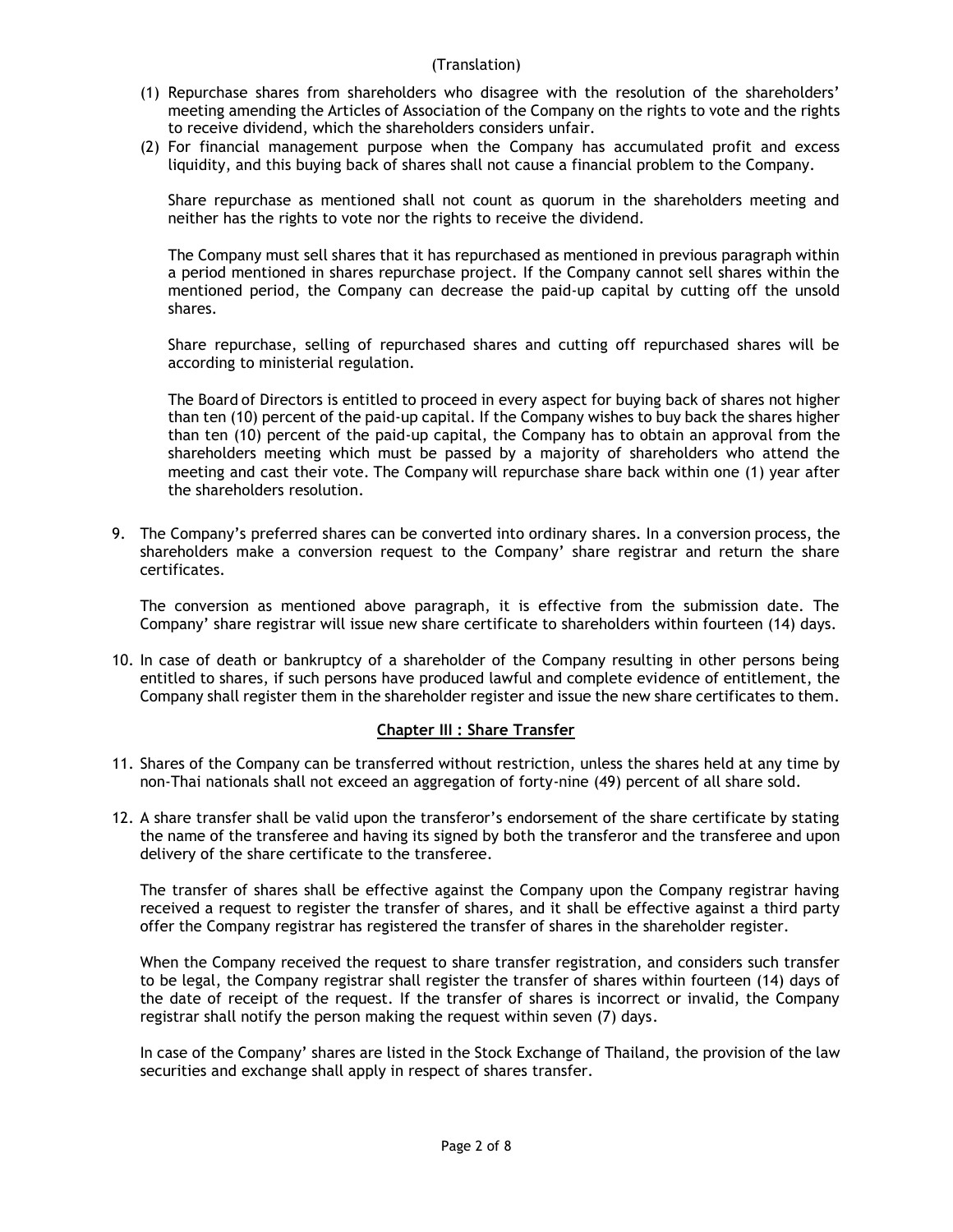- (1) Repurchase shares from shareholders who disagree with the resolution of the shareholders' meeting amending the Articles of Association of the Company on the rights to vote and the rights to receive dividend, which the shareholders considers unfair.
- (2) For financial management purpose when the Company has accumulated profit and excess liquidity, and this buying back of shares shall not cause a financial problem to the Company.

Share repurchase as mentioned shall not count as quorum in the shareholders meeting and neither has the rights to vote nor the rights to receive the dividend.

The Company must sell shares that it has repurchased as mentioned in previous paragraph within a period mentioned in shares repurchase project. If the Company cannot sell shares within the mentioned period, the Company can decrease the paid-up capital by cutting off the unsold shares.

Share repurchase, selling of repurchased shares and cutting off repurchased shares will be according to ministerial regulation.

The Board of Directors is entitled to proceed in every aspect for buying back of shares not higher than ten (10) percent of the paid-up capital. If the Company wishes to buy back the shares higher than ten (10) percent of the paid-up capital, the Company has to obtain an approval from the shareholders meeting which must be passed by a majority of shareholders who attend the meeting and cast their vote. The Company will repurchase share back within one (1) year after the shareholders resolution.

9. The Company's preferred shares can be converted into ordinary shares. In a conversion process, the shareholders make a conversion request to the Company' share registrar and return the share certificates.

The conversion as mentioned above paragraph, it is effective from the submission date. The Company' share registrar will issue new share certificate to shareholders within fourteen (14) days.

10. In case of death or bankruptcy of a shareholder of the Company resulting in other persons being entitled to shares, if such persons have produced lawful and complete evidence of entitlement, the Company shall register them in the shareholder register and issue the new share certificates to them.

#### **Chapter III : Share Transfer**

- 11. Shares of the Company can be transferred without restriction, unless the shares held at any time by non-Thai nationals shall not exceed an aggregation of forty-nine (49) percent of all share sold.
- 12. A share transfer shall be valid upon the transferor's endorsement of the share certificate by stating the name of the transferee and having its signed by both the transferor and the transferee and upon delivery of the share certificate to the transferee.

The transfer of shares shall be effective against the Company upon the Company registrar having received a request to register the transfer of shares, and it shall be effective against a third party offer the Company registrar has registered the transfer of shares in the shareholder register.

When the Company received the request to share transfer registration, and considers such transfer to be legal, the Company registrar shall register the transfer of shares within fourteen (14) days of the date of receipt of the request. If the transfer of shares is incorrect or invalid, the Company registrar shall notify the person making the request within seven (7) days.

In case of the Company' shares are listed in the Stock Exchange of Thailand, the provision of the law securities and exchange shall apply in respect of shares transfer.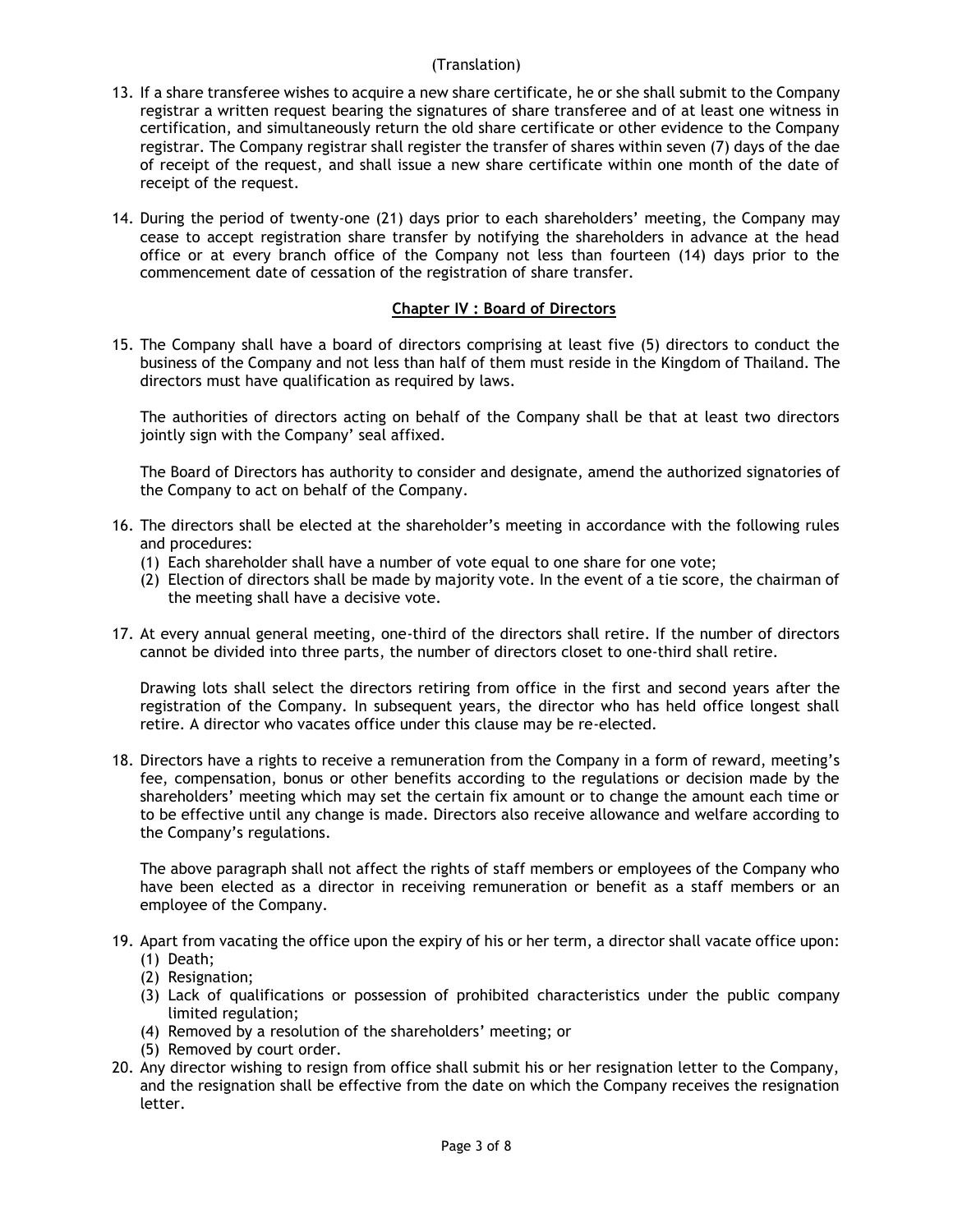- 13. If a share transferee wishes to acquire a new share certificate, he or she shall submit to the Company registrar a written request bearing the signatures of share transferee and of at least one witness in certification, and simultaneously return the old share certificate or other evidence to the Company registrar. The Company registrar shall register the transfer of shares within seven (7) days of the dae of receipt of the request, and shall issue a new share certificate within one month of the date of receipt of the request.
- 14. During the period of twenty-one (21) days prior to each shareholders' meeting, the Company may cease to accept registration share transfer by notifying the shareholders in advance at the head office or at every branch office of the Company not less than fourteen (14) days prior to the commencement date of cessation of the registration of share transfer.

# **Chapter IV : Board of Directors**

15. The Company shall have a board of directors comprising at least five (5) directors to conduct the business of the Company and not less than half of them must reside in the Kingdom of Thailand. The directors must have qualification as required by laws.

The authorities of directors acting on behalf of the Company shall be that at least two directors jointly sign with the Company' seal affixed.

The Board of Directors has authority to consider and designate, amend the authorized signatories of the Company to act on behalf of the Company.

- 16. The directors shall be elected at the shareholder's meeting in accordance with the following rules and procedures:
	- (1) Each shareholder shall have a number of vote equal to one share for one vote;
	- (2) Election of directors shall be made by majority vote. In the event of a tie score, the chairman of the meeting shall have a decisive vote.
- 17. At every annual general meeting, one-third of the directors shall retire. If the number of directors cannot be divided into three parts, the number of directors closet to one-third shall retire.

Drawing lots shall select the directors retiring from office in the first and second years after the registration of the Company. In subsequent years, the director who has held office longest shall retire. A director who vacates office under this clause may be re-elected.

18. Directors have a rights to receive a remuneration from the Company in a form of reward, meeting's fee, compensation, bonus or other benefits according to the regulations or decision made by the shareholders' meeting which may set the certain fix amount or to change the amount each time or to be effective until any change is made. Directors also receive allowance and welfare according to the Company's regulations.

The above paragraph shall not affect the rights of staff members or employees of the Company who have been elected as a director in receiving remuneration or benefit as a staff members or an employee of the Company.

- 19. Apart from vacating the office upon the expiry of his or her term, a director shall vacate office upon: (1) Death;
	- (2) Resignation;
	- (3) Lack of qualifications or possession of prohibited characteristics under the public company limited regulation;
	- (4) Removed by a resolution of the shareholders' meeting; or
	- (5) Removed by court order.
- 20. Any director wishing to resign from office shall submit his or her resignation letter to the Company, and the resignation shall be effective from the date on which the Company receives the resignation letter.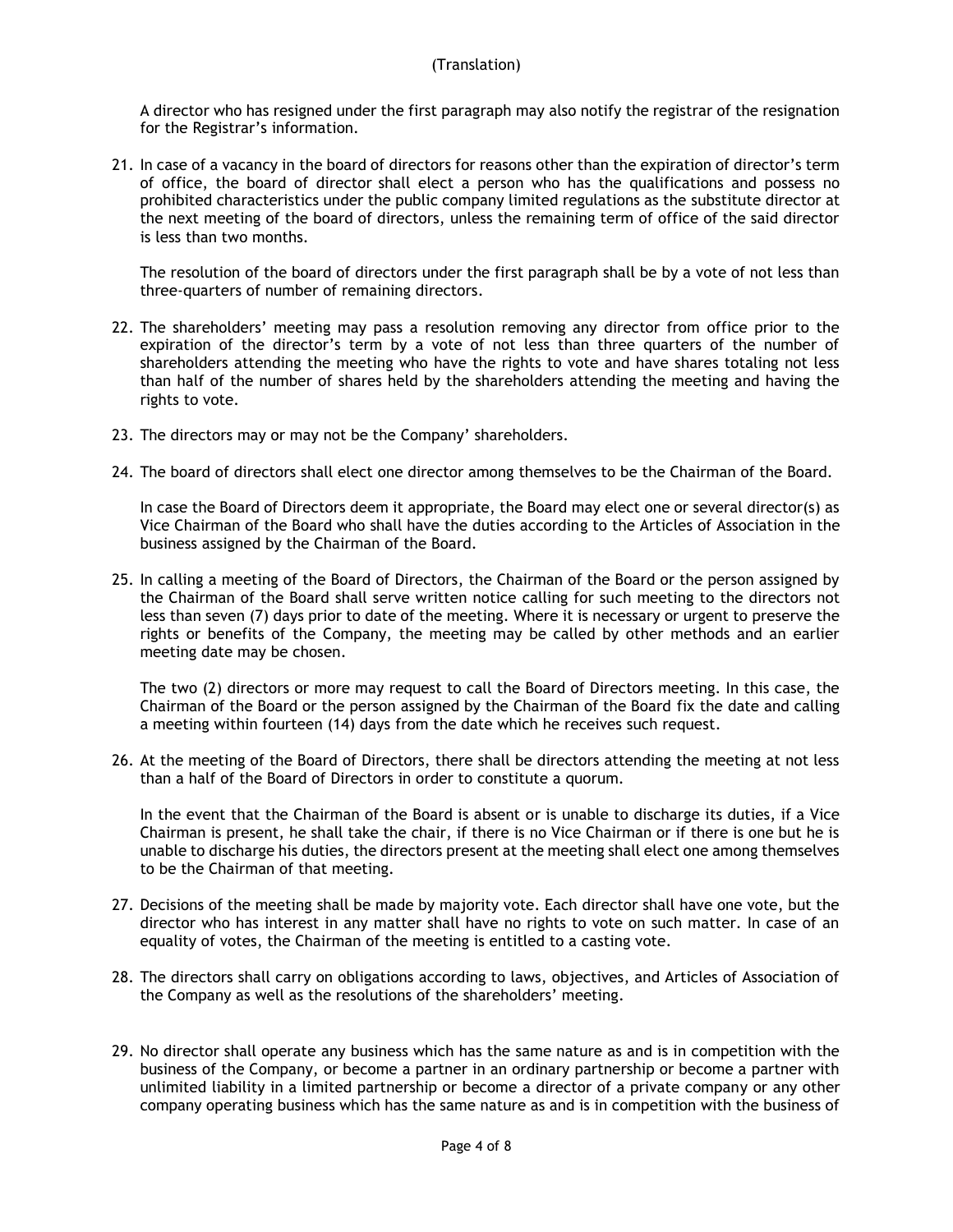A director who has resigned under the first paragraph may also notify the registrar of the resignation for the Registrar's information.

21. In case of a vacancy in the board of directors for reasons other than the expiration of director's term of office, the board of director shall elect a person who has the qualifications and possess no prohibited characteristics under the public company limited regulations as the substitute director at the next meeting of the board of directors, unless the remaining term of office of the said director is less than two months.

The resolution of the board of directors under the first paragraph shall be by a vote of not less than three-quarters of number of remaining directors.

- 22. The shareholders' meeting may pass a resolution removing any director from office prior to the expiration of the director's term by a vote of not less than three quarters of the number of shareholders attending the meeting who have the rights to vote and have shares totaling not less than half of the number of shares held by the shareholders attending the meeting and having the rights to vote.
- 23. The directors may or may not be the Company' shareholders.
- 24. The board of directors shall elect one director among themselves to be the Chairman of the Board.

In case the Board of Directors deem it appropriate, the Board may elect one or several director(s) as Vice Chairman of the Board who shall have the duties according to the Articles of Association in the business assigned by the Chairman of the Board.

25. In calling a meeting of the Board of Directors, the Chairman of the Board or the person assigned by the Chairman of the Board shall serve written notice calling for such meeting to the directors not less than seven (7) days prior to date of the meeting. Where it is necessary or urgent to preserve the rights or benefits of the Company, the meeting may be called by other methods and an earlier meeting date may be chosen.

The two (2) directors or more may request to call the Board of Directors meeting. In this case, the Chairman of the Board or the person assigned by the Chairman of the Board fix the date and calling a meeting within fourteen (14) days from the date which he receives such request.

26. At the meeting of the Board of Directors, there shall be directors attending the meeting at not less than a half of the Board of Directors in order to constitute a quorum.

In the event that the Chairman of the Board is absent or is unable to discharge its duties, if a Vice Chairman is present, he shall take the chair, if there is no Vice Chairman or if there is one but he is unable to discharge his duties, the directors present at the meeting shall elect one among themselves to be the Chairman of that meeting.

- 27. Decisions of the meeting shall be made by majority vote. Each director shall have one vote, but the director who has interest in any matter shall have no rights to vote on such matter. In case of an equality of votes, the Chairman of the meeting is entitled to a casting vote.
- 28. The directors shall carry on obligations according to laws, objectives, and Articles of Association of the Company as well as the resolutions of the shareholders' meeting.
- 29. No director shall operate any business which has the same nature as and is in competition with the business of the Company, or become a partner in an ordinary partnership or become a partner with unlimited liability in a limited partnership or become a director of a private company or any other company operating business which has the same nature as and is in competition with the business of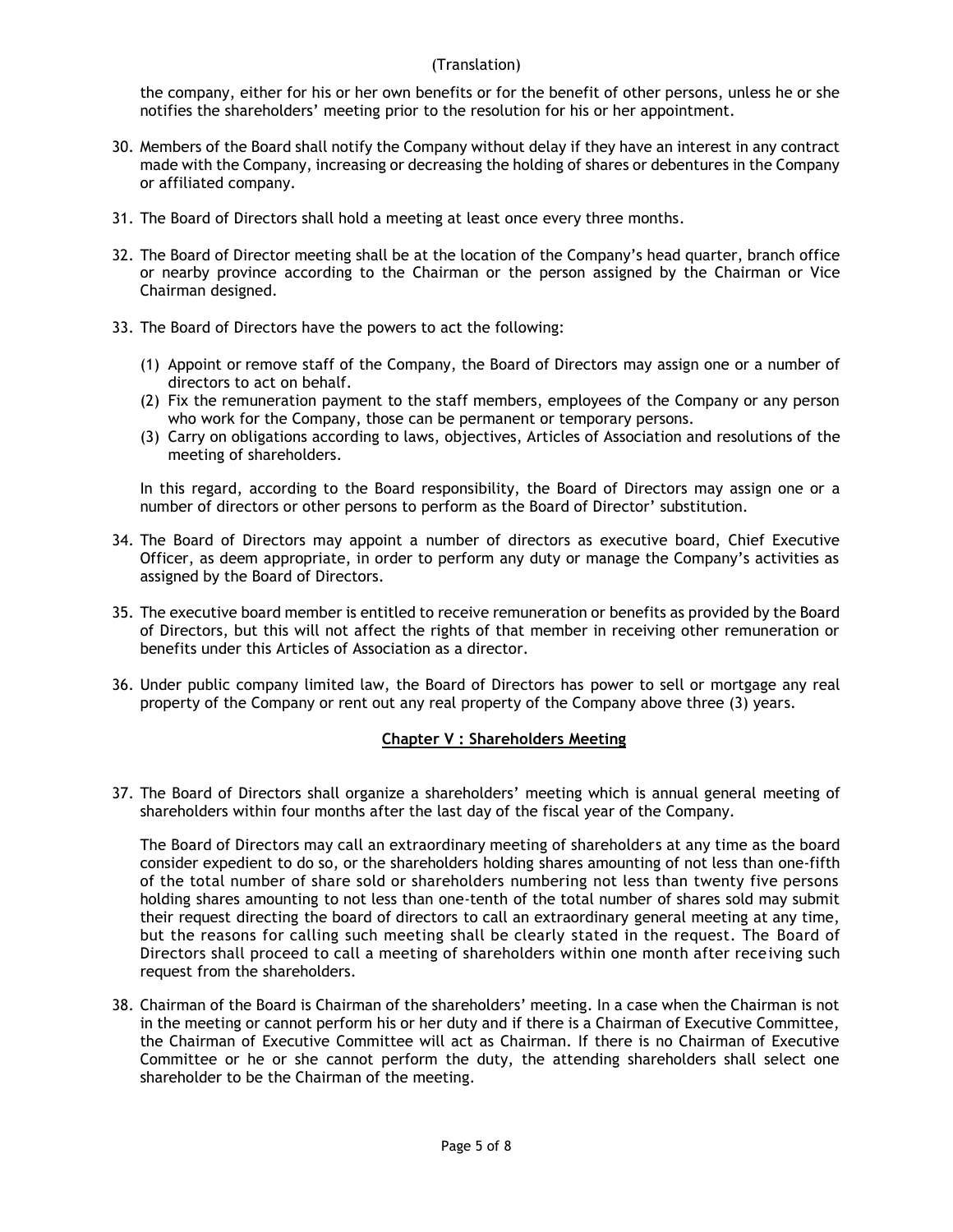the company, either for his or her own benefits or for the benefit of other persons, unless he or she notifies the shareholders' meeting prior to the resolution for his or her appointment.

- 30. Members of the Board shall notify the Company without delay if they have an interest in any contract made with the Company, increasing or decreasing the holding of shares or debentures in the Company or affiliated company.
- 31. The Board of Directors shall hold a meeting at least once every three months.
- 32. The Board of Director meeting shall be at the location of the Company's head quarter, branch office or nearby province according to the Chairman or the person assigned by the Chairman or Vice Chairman designed.
- 33. The Board of Directors have the powers to act the following:
	- (1) Appoint or remove staff of the Company, the Board of Directors may assign one or a number of directors to act on behalf.
	- (2) Fix the remuneration payment to the staff members, employees of the Company or any person who work for the Company, those can be permanent or temporary persons.
	- (3) Carry on obligations according to laws, objectives, Articles of Association and resolutions of the meeting of shareholders.

In this regard, according to the Board responsibility, the Board of Directors may assign one or a number of directors or other persons to perform as the Board of Director' substitution.

- 34. The Board of Directors may appoint a number of directors as executive board, Chief Executive Officer, as deem appropriate, in order to perform any duty or manage the Company's activities as assigned by the Board of Directors.
- 35. The executive board member is entitled to receive remuneration or benefits as provided by the Board of Directors, but this will not affect the rights of that member in receiving other remuneration or benefits under this Articles of Association as a director.
- 36. Under public company limited law, the Board of Directors has power to sell or mortgage any real property of the Company or rent out any real property of the Company above three (3) years.

# **Chapter V : Shareholders Meeting**

37. The Board of Directors shall organize a shareholders' meeting which is annual general meeting of shareholders within four months after the last day of the fiscal year of the Company.

The Board of Directors may call an extraordinary meeting of shareholders at any time as the board consider expedient to do so, or the shareholders holding shares amounting of not less than one-fifth of the total number of share sold or shareholders numbering not less than twenty five persons holding shares amounting to not less than one-tenth of the total number of shares sold may submit their request directing the board of directors to call an extraordinary general meeting at any time, but the reasons for calling such meeting shall be clearly stated in the request. The Board of Directors shall proceed to call a meeting of shareholders within one month after receiving such request from the shareholders.

38. Chairman of the Board is Chairman of the shareholders' meeting. In a case when the Chairman is not in the meeting or cannot perform his or her duty and if there is a Chairman of Executive Committee, the Chairman of Executive Committee will act as Chairman. If there is no Chairman of Executive Committee or he or she cannot perform the duty, the attending shareholders shall select one shareholder to be the Chairman of the meeting.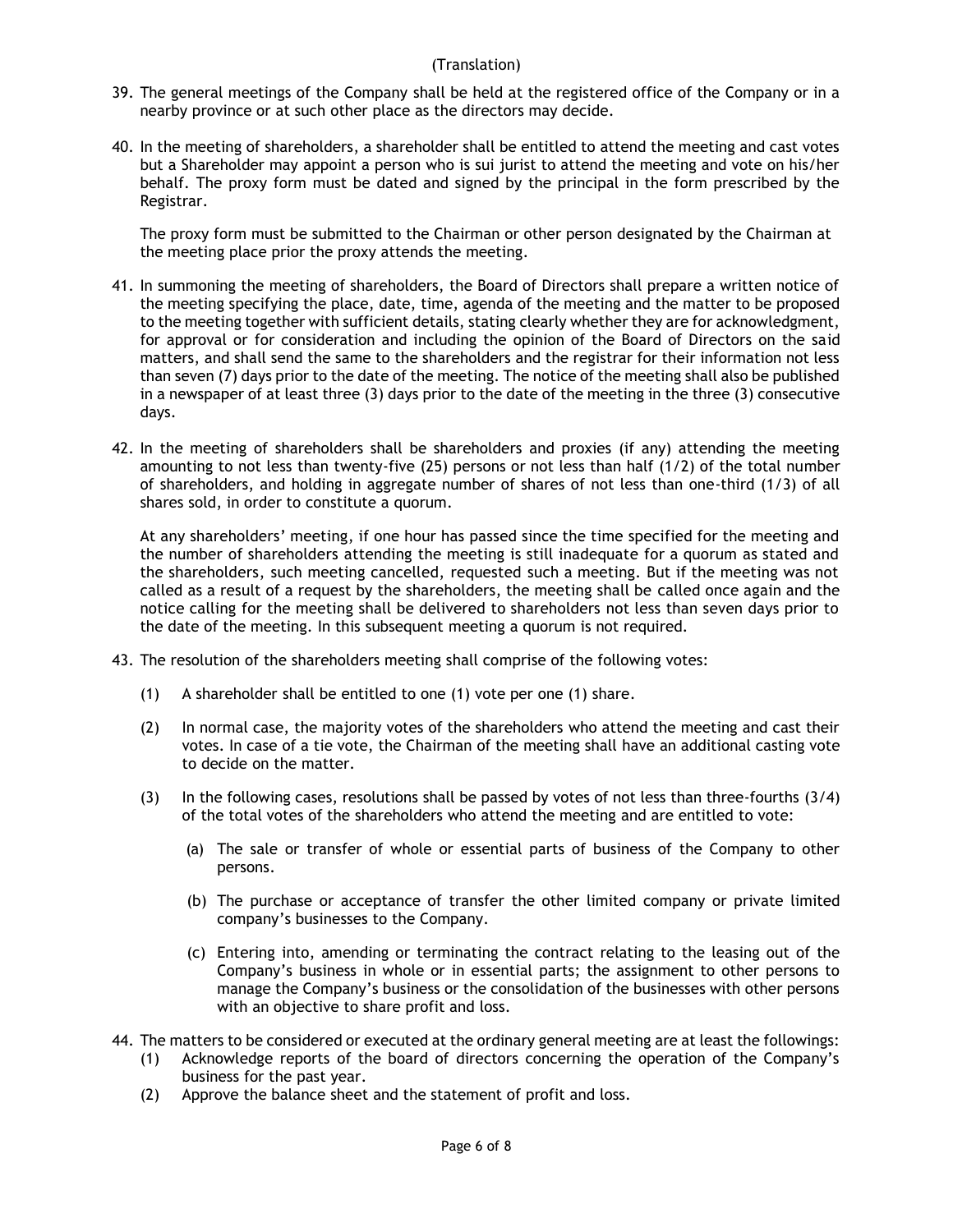- 39. The general meetings of the Company shall be held at the registered office of the Company or in a nearby province or at such other place as the directors may decide.
- 40. In the meeting of shareholders, a shareholder shall be entitled to attend the meeting and cast votes but a Shareholder may appoint a person who is sui jurist to attend the meeting and vote on his/her behalf. The proxy form must be dated and signed by the principal in the form prescribed by the Registrar.

The proxy form must be submitted to the Chairman or other person designated by the Chairman at the meeting place prior the proxy attends the meeting.

- 41. In summoning the meeting of shareholders, the Board of Directors shall prepare a written notice of the meeting specifying the place, date, time, agenda of the meeting and the matter to be proposed to the meeting together with sufficient details, stating clearly whether they are for acknowledgment, for approval or for consideration and including the opinion of the Board of Directors on the said matters, and shall send the same to the shareholders and the registrar for their information not less than seven (7) days prior to the date of the meeting. The notice of the meeting shall also be published in a newspaper of at least three (3) days prior to the date of the meeting in the three (3) consecutive days.
- 42. In the meeting of shareholders shall be shareholders and proxies (if any) attending the meeting amounting to not less than twenty-five (25) persons or not less than half (1/2) of the total number of shareholders, and holding in aggregate number of shares of not less than one-third (1/3) of all shares sold, in order to constitute a quorum.

At any shareholders' meeting, if one hour has passed since the time specified for the meeting and the number of shareholders attending the meeting is still inadequate for a quorum as stated and the shareholders, such meeting cancelled, requested such a meeting. But if the meeting was not called as a result of a request by the shareholders, the meeting shall be called once again and the notice calling for the meeting shall be delivered to shareholders not less than seven days prior to the date of the meeting. In this subsequent meeting a quorum is not required.

- 43. The resolution of the shareholders meeting shall comprise of the following votes:
	- (1) A shareholder shall be entitled to one (1) vote per one (1) share.
	- (2) In normal case, the majority votes of the shareholders who attend the meeting and cast their votes. In case of a tie vote, the Chairman of the meeting shall have an additional casting vote to decide on the matter.
	- (3) In the following cases, resolutions shall be passed by votes of not less than three-fourths (3/4) of the total votes of the shareholders who attend the meeting and are entitled to vote:
		- (a) The sale or transfer of whole or essential parts of business of the Company to other persons.
		- (b) The purchase or acceptance of transfer the other limited company or private limited company's businesses to the Company.
		- (c) Entering into, amending or terminating the contract relating to the leasing out of the Company's business in whole or in essential parts; the assignment to other persons to manage the Company's business or the consolidation of the businesses with other persons with an objective to share profit and loss.
- 44. The matters to be considered or executed at the ordinary general meeting are at least the followings:
	- (1) Acknowledge reports of the board of directors concerning the operation of the Company's business for the past year.
	- (2) Approve the balance sheet and the statement of profit and loss.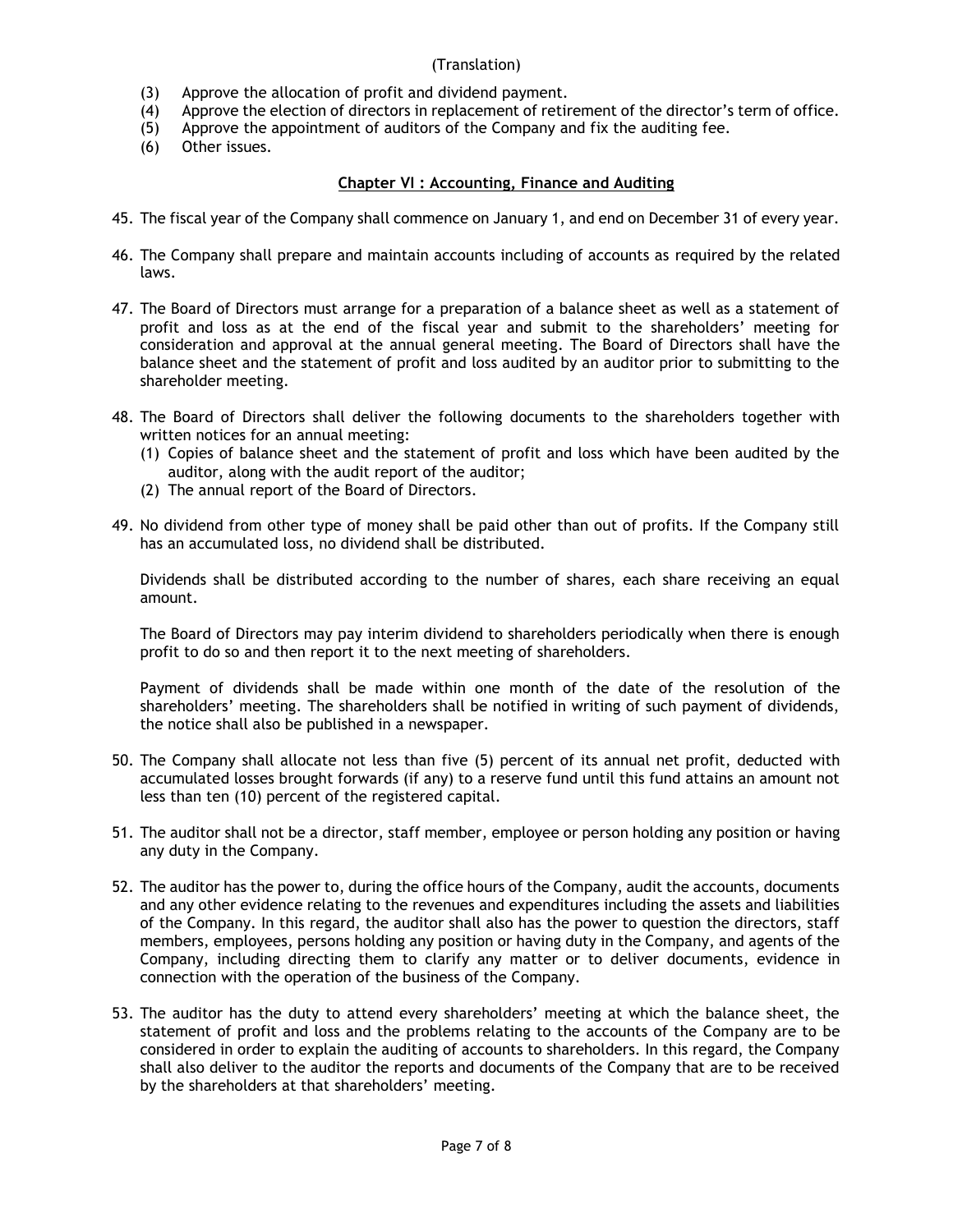- (3) Approve the allocation of profit and dividend payment.
- (4) Approve the election of directors in replacement of retirement of the director's term of office.
- (5) Approve the appointment of auditors of the Company and fix the auditing fee.
- (6) Other issues.

# **Chapter VI : Accounting, Finance and Auditing**

- 45. The fiscal year of the Company shall commence on January 1, and end on December 31 of every year.
- 46. The Company shall prepare and maintain accounts including of accounts as required by the related laws.
- 47. The Board of Directors must arrange for a preparation of a balance sheet as well as a statement of profit and loss as at the end of the fiscal year and submit to the shareholders' meeting for consideration and approval at the annual general meeting. The Board of Directors shall have the balance sheet and the statement of profit and loss audited by an auditor prior to submitting to the shareholder meeting.
- 48. The Board of Directors shall deliver the following documents to the shareholders together with written notices for an annual meeting:
	- (1) Copies of balance sheet and the statement of profit and loss which have been audited by the auditor, along with the audit report of the auditor;
	- (2) The annual report of the Board of Directors.
- 49. No dividend from other type of money shall be paid other than out of profits. If the Company still has an accumulated loss, no dividend shall be distributed.

Dividends shall be distributed according to the number of shares, each share receiving an equal amount.

The Board of Directors may pay interim dividend to shareholders periodically when there is enough profit to do so and then report it to the next meeting of shareholders.

Payment of dividends shall be made within one month of the date of the resolution of the shareholders' meeting. The shareholders shall be notified in writing of such payment of dividends, the notice shall also be published in a newspaper.

- 50. The Company shall allocate not less than five (5) percent of its annual net profit, deducted with accumulated losses brought forwards (if any) to a reserve fund until this fund attains an amount not less than ten (10) percent of the registered capital.
- 51. The auditor shall not be a director, staff member, employee or person holding any position or having any duty in the Company.
- 52. The auditor has the power to, during the office hours of the Company, audit the accounts, documents and any other evidence relating to the revenues and expenditures including the assets and liabilities of the Company. In this regard, the auditor shall also has the power to question the directors, staff members, employees, persons holding any position or having duty in the Company, and agents of the Company, including directing them to clarify any matter or to deliver documents, evidence in connection with the operation of the business of the Company.
- 53. The auditor has the duty to attend every shareholders' meeting at which the balance sheet, the statement of profit and loss and the problems relating to the accounts of the Company are to be considered in order to explain the auditing of accounts to shareholders. In this regard, the Company shall also deliver to the auditor the reports and documents of the Company that are to be received by the shareholders at that shareholders' meeting.